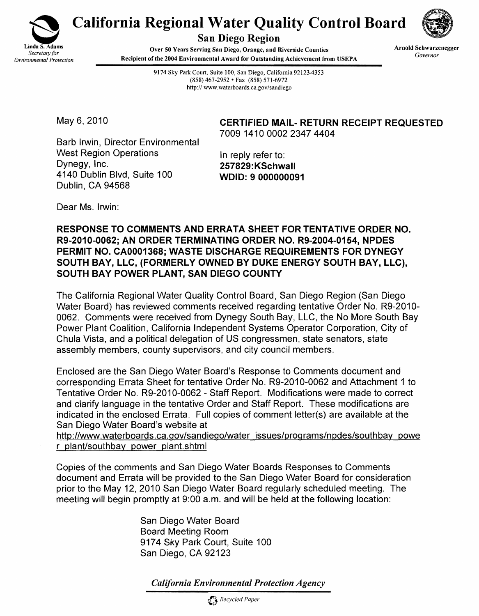

San Diego Region

California Regional Water Quality Control Board<br>San Diego Region<br>Secretary for Arnold Schwarzeneger<br>Secretary for<br>Arnold Schwarzeneger Linda S. Adams **Over 50 Years Serving San Diego, Orange, and Riverside Counties Arnold Schwarze**<br>*Secretary for* **Environmental Protection Secretary Recipient of the 2004 Environmental Award for Outstanding Achievem Recipient of the 2004 Environmental Award for Outstanding Achievement from USEPA** 

9174 Sky Park Court, Suite 100, San Diego, California 92123-4353 (858) 467-2952 • Fax (858) 571-6972 http://www.waterboards.ca.gov/sandiego

May 6, 2010 **CERTIFIED MAIL- RETURN RECEIPT REQUESTED** 7009 1410 0002 2347 4404

Barb Irwin, Director Environmental West Region Operations In reply refer to:<br>Dynegy, Inc. 357829.KSchw 4140 Dublin Blvd, Suite 100 WOlD: 9 000000091 Dublin, CA 94568

257829:KSchwall

Dear Ms. Irwin:

## RESPONSE TO COMMENTS AND ERRATA SHEET FOR TENTATIVE ORDER NO. R9-2010-0062; AN ORDER TERMINATING ORDER NO. R9-2004-0154, NPDES PERMIT NO. CA0001368; WASTE DISCHARGE REQUIREMENTS FOR DYNEGY SOUTH BAY, LLC, (FORMERLY OWNED BY DUKE ENERGY SOUTH BAY, LLC), SOUTH BAY POWER PLANT, SAN DIEGO COUNTY

The California Regional Water Quality Control Board, San Diego Region (San Diego Water Board) has reviewed comments received regarding tentative Order No. R9-2010 0062. Comments were received from Dynegy South Bay, LLC, the No More South Bay Power Plant Coalition, California Independent Systems Operator Corporation, City of Chula Vista, and a political delegation of US congressmen, state senators, state assembly members, county supervisors, and city council members.

Enclosed are the San Diego Water Board's Response to Comments document and corresponding Errata Sheet for tentative Order No. R9-2010-0062 and Attachment 1 to Tentative Order No. R9-2010-0062 - Staff Report. Modifications were made to correct and clarify language in the tentative Order and Staff Report. These modifications are indicated in the enclosed Errata. Full copies of comment letter(s) are available at the San Diego Water Board's website at

http://www.waterboards.ca.gov/sandiego/water issues/programs/npdes/southbay powe r plant/southbay power plant.shtml

Copies of the comments and San Diego Water Boards Responses to Comments document and Errata will be provided to the San Diego Water Board for consideration prior to the May 12, 2010 San Diego Water Board regularly scheduled meeting. The meeting will begin promptly at 9:00 a.m. and will be held at the following location:

> San Diego Water Board Board Meeting Room 9174 Sky Park Court, Suite 100 San Diego, CA 92123

*California Environmental Protection Agency*